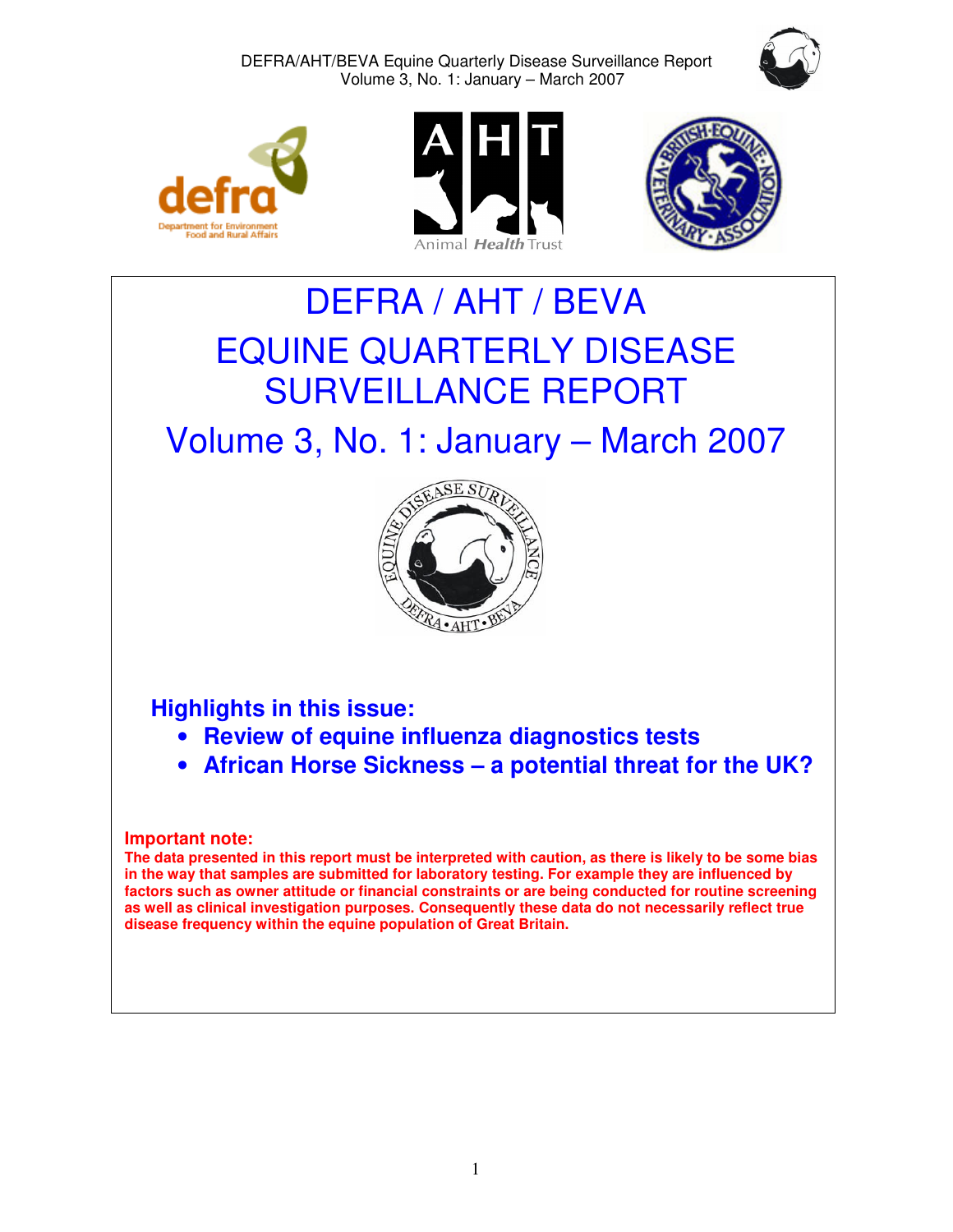









# DEFRA / AHT / BEVA EQUINE QUARTERLY DISEASE SURVEILLANCE REPORT

# Volume 3, No. 1: January – March 2007



# **Highlights in this issue:**

- **Review of equine influenza diagnostics tests**
- **African Horse Sickness a potential threat for the UK?**

# **Important note:**

**The data presented in this report must be interpreted with caution, as there is likely to be some bias in the way that samples are submitted for laboratory testing. For example they are influenced by factors such as owner attitude or financial constraints or are being conducted for routine screening as well as clinical investigation purposes. Consequently these data do not necessarily reflect true disease frequency within the equine population of Great Britain.**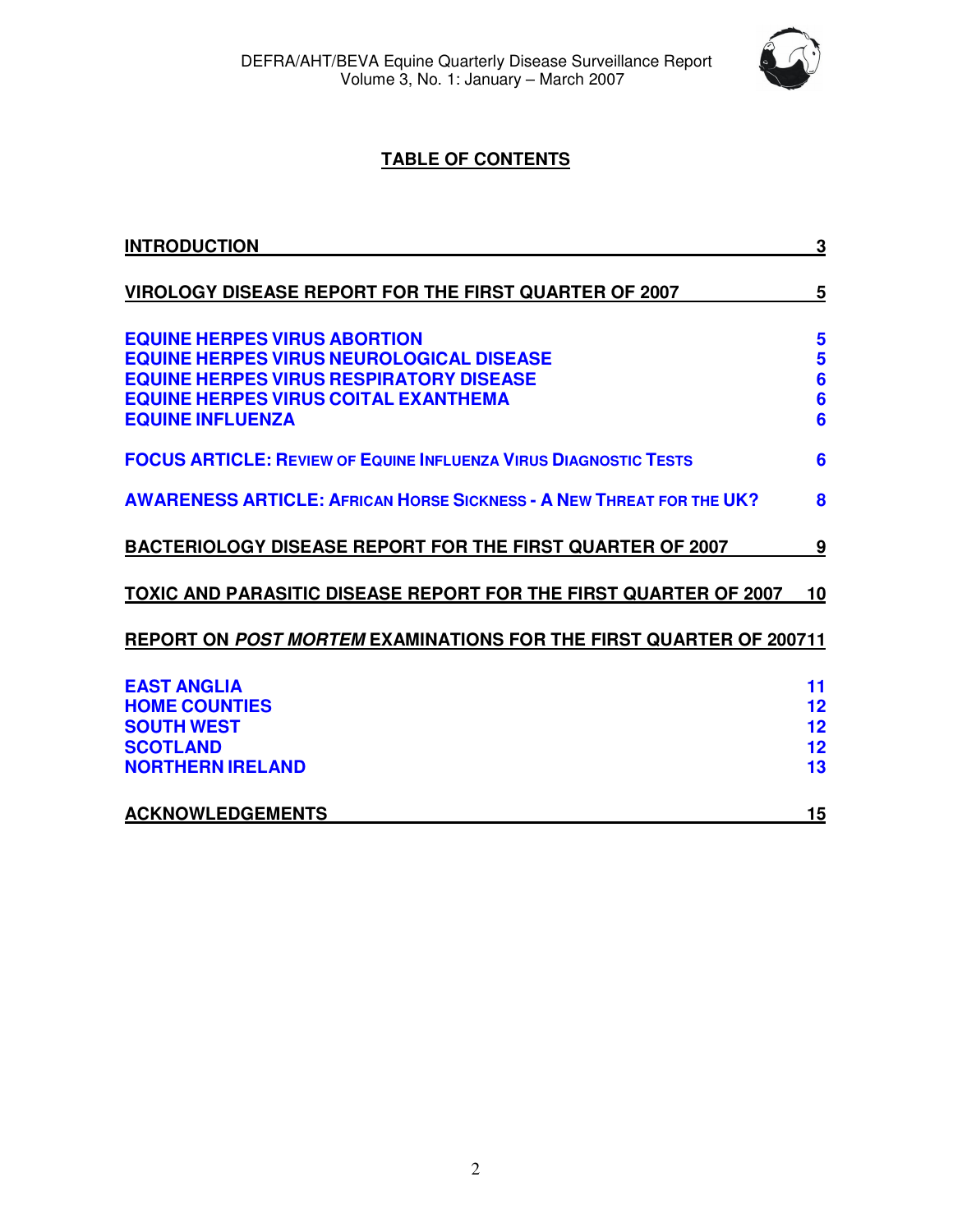

# **TABLE OF CONTENTS**

| <b>INTRODUCTION</b>                                                                                                                                                                                                | 3                                                              |
|--------------------------------------------------------------------------------------------------------------------------------------------------------------------------------------------------------------------|----------------------------------------------------------------|
| <b>VIROLOGY DISEASE REPORT FOR THE FIRST QUARTER OF 2007</b>                                                                                                                                                       | 5                                                              |
| <b>EQUINE HERPES VIRUS ABORTION</b><br><b>EQUINE HERPES VIRUS NEUROLOGICAL DISEASE</b><br><b>EQUINE HERPES VIRUS RESPIRATORY DISEASE</b><br><b>EQUINE HERPES VIRUS COITAL EXANTHEMA</b><br><b>EQUINE INFLUENZA</b> | 5<br>5<br>$6\phantom{1}6$<br>$6\phantom{a}$<br>$6\phantom{1}6$ |
| <b>FOCUS ARTICLE: REVIEW OF EQUINE INFLUENZA VIRUS DIAGNOSTIC TESTS</b>                                                                                                                                            | 6                                                              |
| <b>AWARENESS ARTICLE: AFRICAN HORSE SICKNESS - A NEW THREAT FOR THE UK?</b>                                                                                                                                        | 8                                                              |
| <b>BACTERIOLOGY DISEASE REPORT FOR THE FIRST QUARTER OF 2007</b>                                                                                                                                                   | 9                                                              |
| TOXIC AND PARASITIC DISEASE REPORT FOR THE FIRST QUARTER OF 2007                                                                                                                                                   | 10                                                             |
| REPORT ON POST MORTEM EXAMINATIONS FOR THE FIRST QUARTER OF 200711                                                                                                                                                 |                                                                |
| <b>EAST ANGLIA</b><br><b>HOME COUNTIES</b><br><b>SOUTH WEST</b><br><b>SCOTLAND</b><br><b>NORTHERN IRELAND</b>                                                                                                      | 11<br>12<br>12<br>12<br>13                                     |
| <b>ACKNOWLEDGEMENTS</b>                                                                                                                                                                                            | 15                                                             |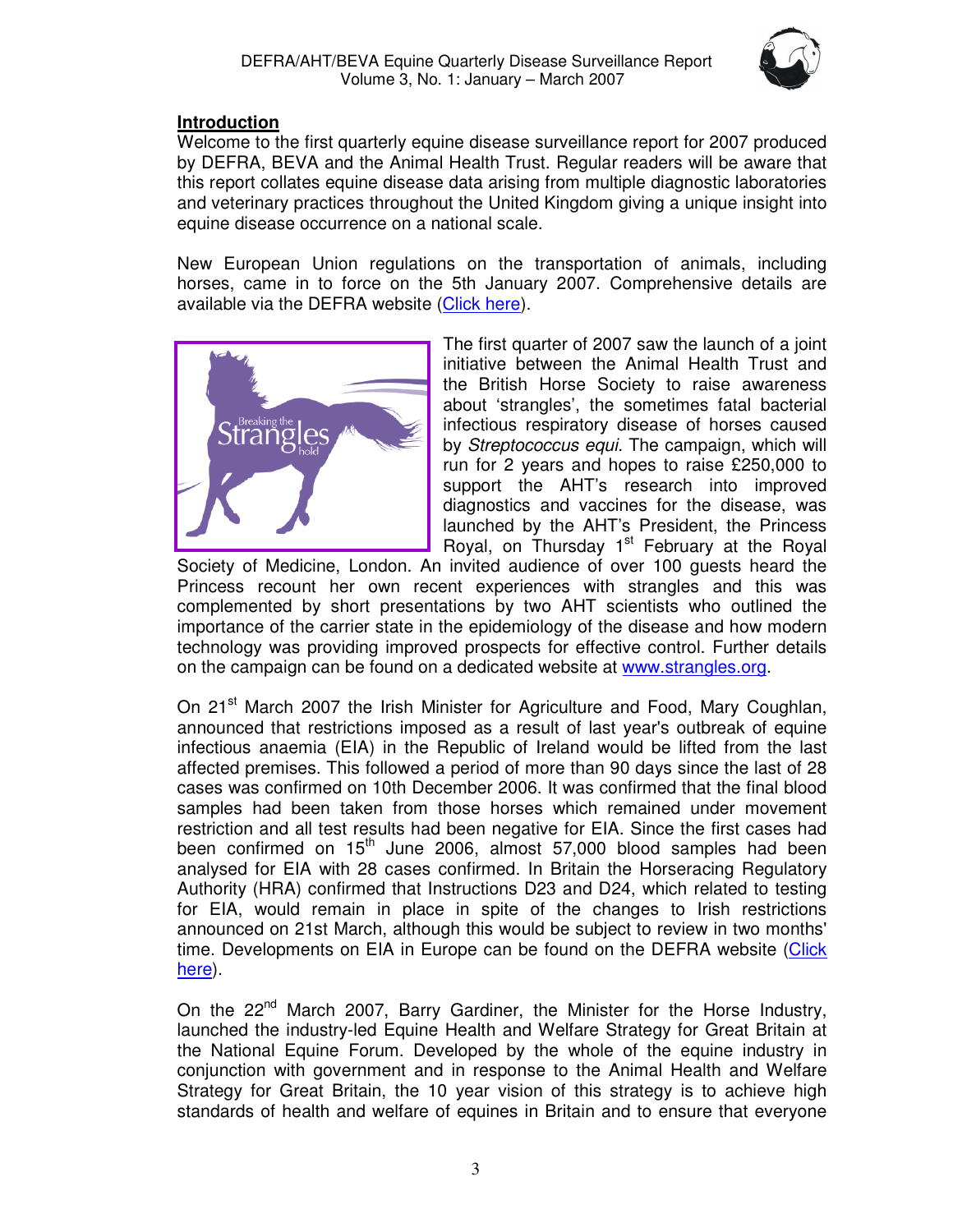

# **Introduction**

Welcome to the first quarterly equine disease surveillance report for 2007 produced by DEFRA, BEVA and the Animal Health Trust. Regular readers will be aware that this report collates equine disease data arising from multiple diagnostic laboratories and veterinary practices throughout the United Kingdom giving a unique insight into equine disease occurrence on a national scale.

New European Union regulations on the transportation of animals, including horses, came in to force on the 5th January 2007. Comprehensive details are available via the DEFRA website (Click here).



The first quarter of 2007 saw the launch of a joint initiative between the Animal Health Trust and the British Horse Society to raise awareness about 'strangles', the sometimes fatal bacterial infectious respiratory disease of horses caused by Streptococcus equi. The campaign, which will run for 2 years and hopes to raise £250,000 to support the AHT's research into improved diagnostics and vaccines for the disease, was launched by the AHT's President, the Princess Royal, on Thursday  $1<sup>st</sup>$  February at the Royal

Society of Medicine, London. An invited audience of over 100 guests heard the Princess recount her own recent experiences with strangles and this was complemented by short presentations by two AHT scientists who outlined the importance of the carrier state in the epidemiology of the disease and how modern technology was providing improved prospects for effective control. Further details on the campaign can be found on a dedicated website at www.strangles.org.

On 21<sup>st</sup> March 2007 the Irish Minister for Agriculture and Food, Mary Coughlan, announced that restrictions imposed as a result of last year's outbreak of equine infectious anaemia (EIA) in the Republic of Ireland would be lifted from the last affected premises. This followed a period of more than 90 days since the last of 28 cases was confirmed on 10th December 2006. It was confirmed that the final blood samples had been taken from those horses which remained under movement restriction and all test results had been negative for EIA. Since the first cases had been confirmed on 15<sup>th</sup> June 2006, almost 57,000 blood samples had been analysed for EIA with 28 cases confirmed. In Britain the Horseracing Regulatory Authority (HRA) confirmed that Instructions D23 and D24, which related to testing for EIA, would remain in place in spite of the changes to Irish restrictions announced on 21st March, although this would be subject to review in two months' time. Developments on EIA in Europe can be found on the DEFRA website (Click here).

On the 22<sup>nd</sup> March 2007, Barry Gardiner, the Minister for the Horse Industry, launched the industry-led Equine Health and Welfare Strategy for Great Britain at the National Equine Forum. Developed by the whole of the equine industry in conjunction with government and in response to the Animal Health and Welfare Strategy for Great Britain, the 10 year vision of this strategy is to achieve high standards of health and welfare of equines in Britain and to ensure that everyone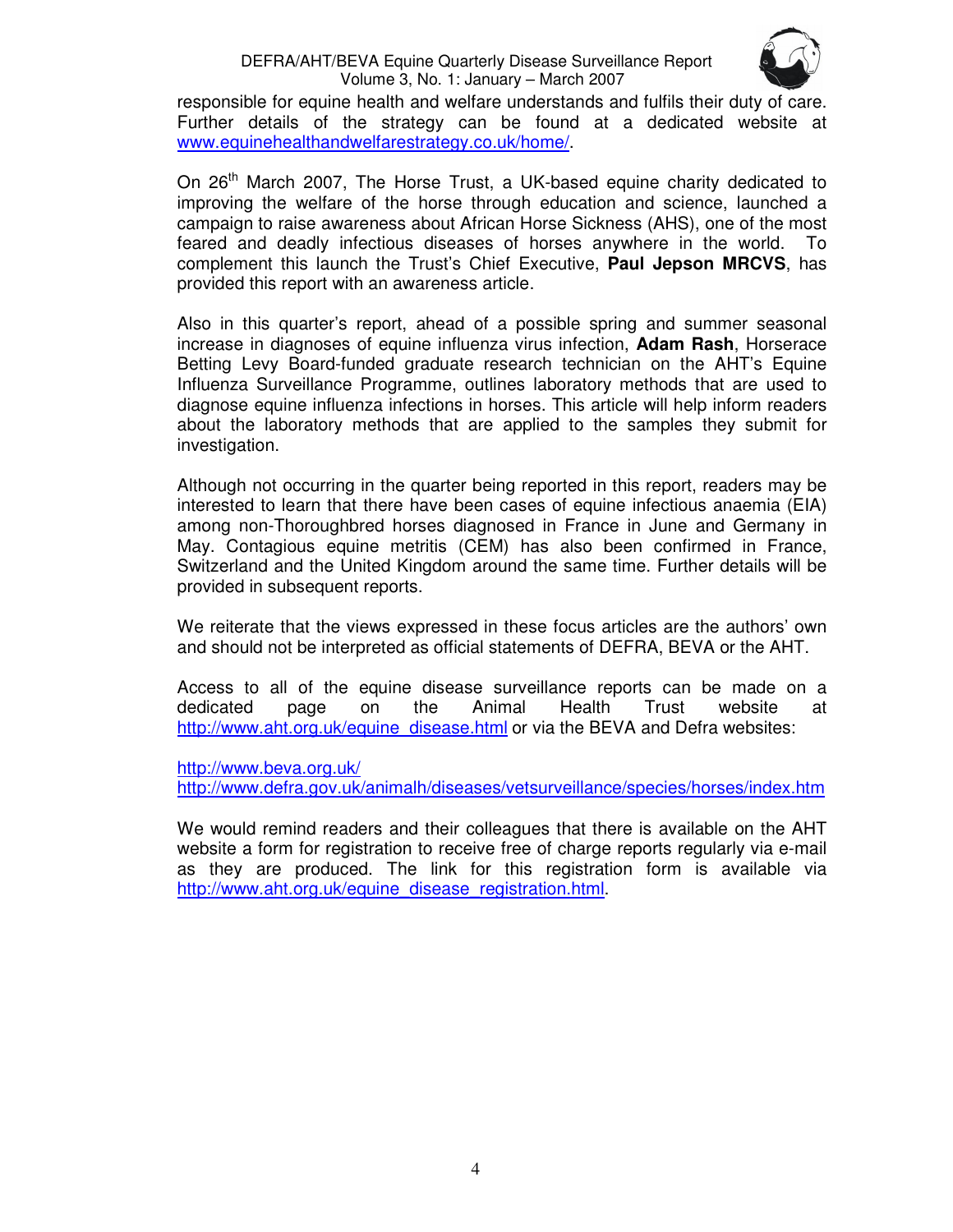

responsible for equine health and welfare understands and fulfils their duty of care. Further details of the strategy can be found at a dedicated website at www.equinehealthandwelfarestrategy.co.uk/home/.

On 26<sup>th</sup> March 2007, The Horse Trust, a UK-based equine charity dedicated to improving the welfare of the horse through education and science, launched a campaign to raise awareness about African Horse Sickness (AHS), one of the most feared and deadly infectious diseases of horses anywhere in the world. To complement this launch the Trust's Chief Executive, **Paul Jepson MRCVS**, has provided this report with an awareness article.

Also in this quarter's report, ahead of a possible spring and summer seasonal increase in diagnoses of equine influenza virus infection, **Adam Rash**, Horserace Betting Levy Board-funded graduate research technician on the AHT's Equine Influenza Surveillance Programme, outlines laboratory methods that are used to diagnose equine influenza infections in horses. This article will help inform readers about the laboratory methods that are applied to the samples they submit for investigation.

Although not occurring in the quarter being reported in this report, readers may be interested to learn that there have been cases of equine infectious anaemia (EIA) among non-Thoroughbred horses diagnosed in France in June and Germany in May. Contagious equine metritis (CEM) has also been confirmed in France, Switzerland and the United Kingdom around the same time. Further details will be provided in subsequent reports.

We reiterate that the views expressed in these focus articles are the authors' own and should not be interpreted as official statements of DEFRA, BEVA or the AHT.

Access to all of the equine disease surveillance reports can be made on a dedicated page on the Animal Health Trust website at http://www.aht.org.uk/equine\_disease.html or via the BEVA and Defra websites:

http://www.beva.org.uk/

http://www.defra.gov.uk/animalh/diseases/vetsurveillance/species/horses/index.htm

We would remind readers and their colleagues that there is available on the AHT website a form for registration to receive free of charge reports regularly via e-mail as they are produced. The link for this registration form is available via http://www.aht.org.uk/equine\_disease\_registration.html.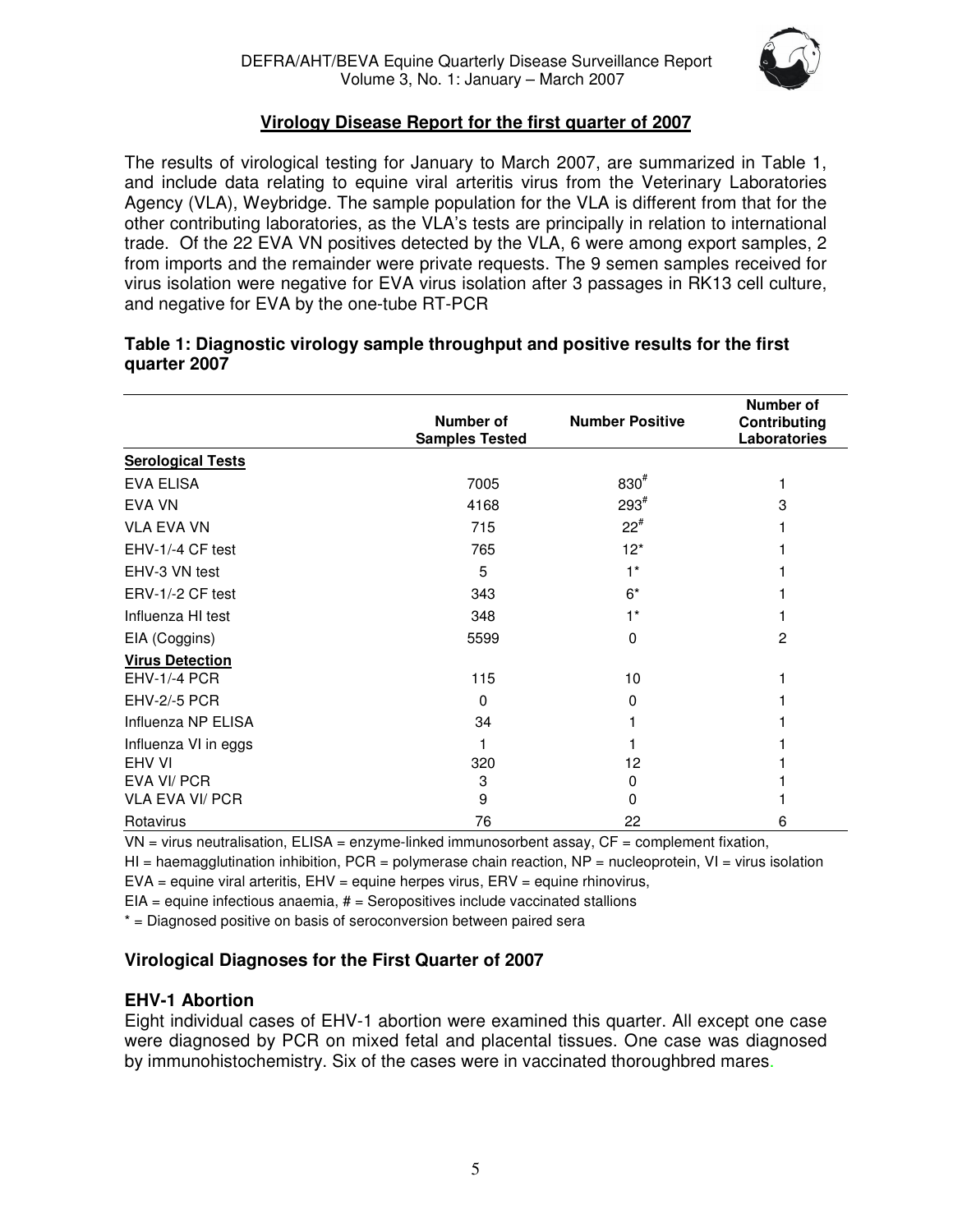

# **Virology Disease Report for the first quarter of 2007**

The results of virological testing for January to March 2007, are summarized in Table 1, and include data relating to equine viral arteritis virus from the Veterinary Laboratories Agency (VLA), Weybridge. The sample population for the VLA is different from that for the other contributing laboratories, as the VLA's tests are principally in relation to international trade. Of the 22 EVA VN positives detected by the VLA, 6 were among export samples, 2 from imports and the remainder were private requests. The 9 semen samples received for virus isolation were negative for EVA virus isolation after 3 passages in RK13 cell culture, and negative for EVA by the one-tube RT-PCR

#### **Number of Samples Tested Number Positive Number of Contributing Laboratories Serological Tests**   $EVA$  ELISA  $7005$  830<sup>#</sup>  $11.1$ EVA VN  $^{293^{\#}}$  $3<sup>3</sup>$ VLA EVA VN  $Z2^{\#}$  $1$ EHV-1/-4 CF test  $\overline{12}$  and  $\overline{12}$  and  $\overline{12}$  and  $\overline{12}$  and  $\overline{12}$  and  $\overline{12}$  and  $\overline{12}$  and  $\overline{12}$  and  $\overline{12}$  and  $\overline{12}$  and  $\overline{12}$  and  $\overline{12}$  and  $\overline{12}$  and  $\overline{12}$  and  $\overline{12}$ EHV-3 VN test  $1^*$  1 ERV-1/-2 CF test 1 343 6\* 1 Influenza HI test 348 1\* 1 EIA (Coggins) 2 2 **Virus Detection**  EHV-1/-4 PCR 115 115 10 1 EHV-2/-5 PCR 1 0 0 0 1 Influenza NP ELISA 34 1 1 Influenza VI in eggs 1 1 1 EHV VI 320 12 1 EVA VI/ PCR 3 0 1 VLA EVA VI/ PCR 9 0 1

# **Table 1: Diagnostic virology sample throughput and positive results for the first quarter 2007**

Rotavirus 76 22 6  $VN =$  virus neutralisation,  $ELISA =$  enzyme-linked immunosorbent assay,  $CF =$  complement fixation,

 $HI$  = haemagglutination inhibition, PCR = polymerase chain reaction, NP = nucleoprotein, VI = virus isolation

 $EVA =$  equine viral arteritis,  $EHV =$  equine herpes virus,  $ENV =$  equine rhinovirus,

 $EIA =$  equine infectious anaemia,  $#$  = Seropositives include vaccinated stallions

\* = Diagnosed positive on basis of seroconversion between paired sera

# **Virological Diagnoses for the First Quarter of 2007**

# **EHV-1 Abortion**

Eight individual cases of EHV-1 abortion were examined this quarter. All except one case were diagnosed by PCR on mixed fetal and placental tissues. One case was diagnosed by immunohistochemistry. Six of the cases were in vaccinated thoroughbred mares.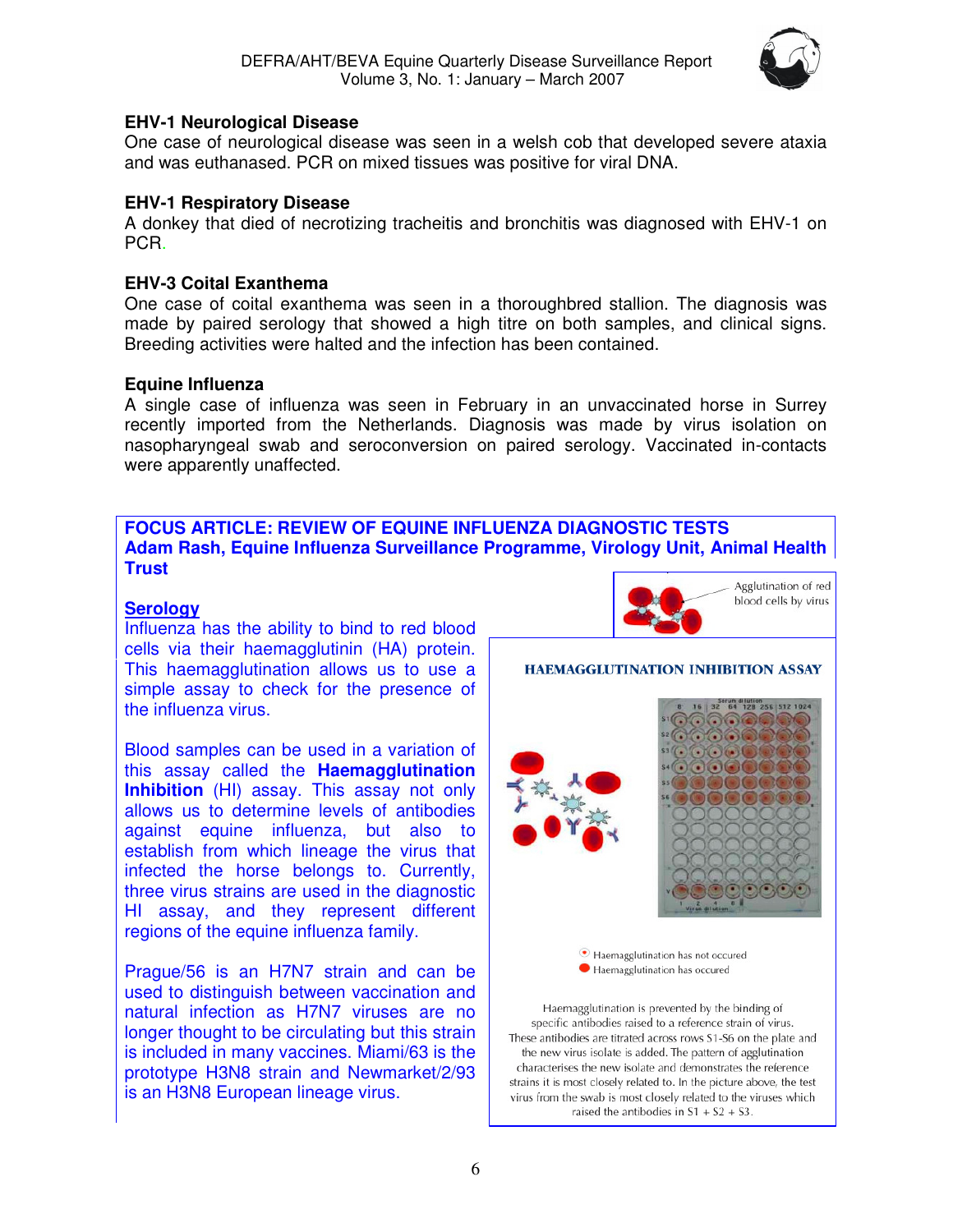

## **EHV-1 Neurological Disease**

One case of neurological disease was seen in a welsh cob that developed severe ataxia and was euthanased. PCR on mixed tissues was positive for viral DNA.

## **EHV-1 Respiratory Disease**

A donkey that died of necrotizing tracheitis and bronchitis was diagnosed with EHV-1 on PCR.

# **EHV-3 Coital Exanthema**

One case of coital exanthema was seen in a thoroughbred stallion. The diagnosis was made by paired serology that showed a high titre on both samples, and clinical signs. Breeding activities were halted and the infection has been contained.

#### **Equine Influenza**

A single case of influenza was seen in February in an unvaccinated horse in Surrey recently imported from the Netherlands. Diagnosis was made by virus isolation on nasopharyngeal swab and seroconversion on paired serology. Vaccinated in-contacts were apparently unaffected.

## **FOCUS ARTICLE: REVIEW OF EQUINE INFLUENZA DIAGNOSTIC TESTS Adam Rash, Equine Influenza Surveillance Programme, Virology Unit, Animal Health Trust**

# **Serology**

Influenza has the ability to bind to red blood cells via their haemagglutinin (HA) protein. This haemagglutination allows us to use a simple assay to check for the presence of the influenza virus.

Blood samples can be used in a variation of this assay called the **Haemagglutination Inhibition** (HI) assay. This assay not only allows us to determine levels of antibodies against equine influenza, but also to establish from which lineage the virus that infected the horse belongs to. Currently, three virus strains are used in the diagnostic HI assay, and they represent different regions of the equine influenza family.

Prague/56 is an H7N7 strain and can be used to distinguish between vaccination and natural infection as H7N7 viruses are no longer thought to be circulating but this strain is included in many vaccines. Miami/63 is the prototype H3N8 strain and Newmarket/2/93 is an H3N8 European lineage virus.



#### HAEMAGGLUTINATION INHIBITION ASSAY





· Haemagglutination has not occured Haemagglutination has occured

Haemagglutination is prevented by the binding of specific antibodies raised to a reference strain of virus. These antibodies are titrated across rows S1-S6 on the plate and the new virus isolate is added. The pattern of agglutination characterises the new isolate and demonstrates the reference strains it is most closely related to. In the picture above, the test virus from the swab is most closely related to the viruses which raised the antibodies in  $S1 + S2 + S3$ .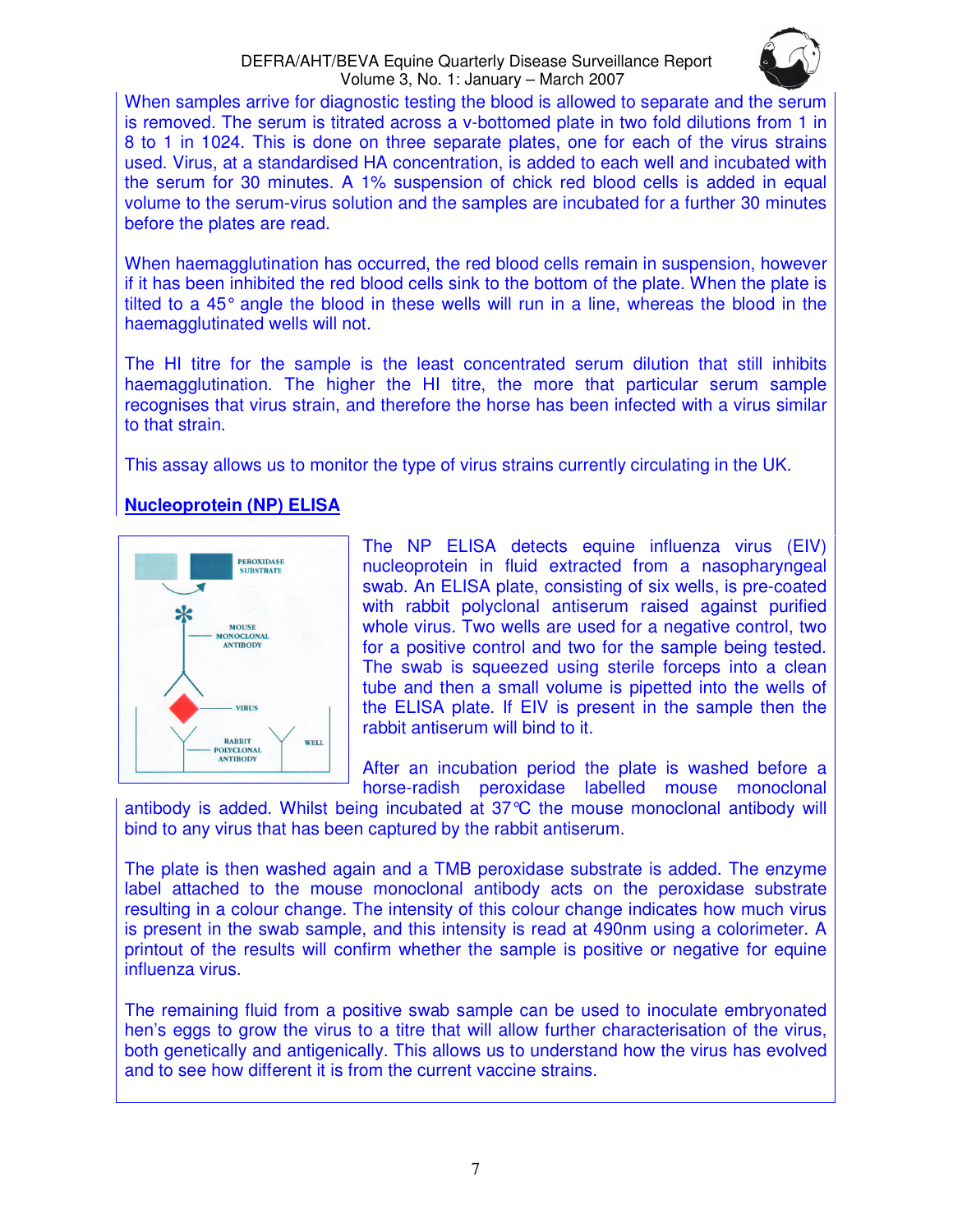

When samples arrive for diagnostic testing the blood is allowed to separate and the serum is removed. The serum is titrated across a v-bottomed plate in two fold dilutions from 1 in 8 to 1 in 1024. This is done on three separate plates, one for each of the virus strains used. Virus, at a standardised HA concentration, is added to each well and incubated with the serum for 30 minutes. A 1% suspension of chick red blood cells is added in equal volume to the serum-virus solution and the samples are incubated for a further 30 minutes before the plates are read.

When haemagglutination has occurred, the red blood cells remain in suspension, however if it has been inhibited the red blood cells sink to the bottom of the plate. When the plate is tilted to a 45° angle the blood in these wells will run in a line, whereas the blood in the haemagglutinated wells will not.

The HI titre for the sample is the least concentrated serum dilution that still inhibits haemagglutination. The higher the HI titre, the more that particular serum sample recognises that virus strain, and therefore the horse has been infected with a virus similar to that strain.

This assay allows us to monitor the type of virus strains currently circulating in the UK.

# **Nucleoprotein (NP) ELISA**



The NP ELISA detects equine influenza virus (EIV) nucleoprotein in fluid extracted from a nasopharyngeal swab. An ELISA plate, consisting of six wells, is pre-coated with rabbit polyclonal antiserum raised against purified whole virus. Two wells are used for a negative control, two for a positive control and two for the sample being tested. The swab is squeezed using sterile forceps into a clean tube and then a small volume is pipetted into the wells of the ELISA plate. If EIV is present in the sample then the rabbit antiserum will bind to it.

After an incubation period the plate is washed before a horse-radish peroxidase labelled mouse monoclonal

antibody is added. Whilst being incubated at 37°C the mouse monoclonal antibody will bind to any virus that has been captured by the rabbit antiserum.

The plate is then washed again and a TMB peroxidase substrate is added. The enzyme label attached to the mouse monoclonal antibody acts on the peroxidase substrate resulting in a colour change. The intensity of this colour change indicates how much virus is present in the swab sample, and this intensity is read at 490nm using a colorimeter. A printout of the results will confirm whether the sample is positive or negative for equine influenza virus.

The remaining fluid from a positive swab sample can be used to inoculate embryonated hen's eggs to grow the virus to a titre that will allow further characterisation of the virus, both genetically and antigenically. This allows us to understand how the virus has evolved and to see how different it is from the current vaccine strains.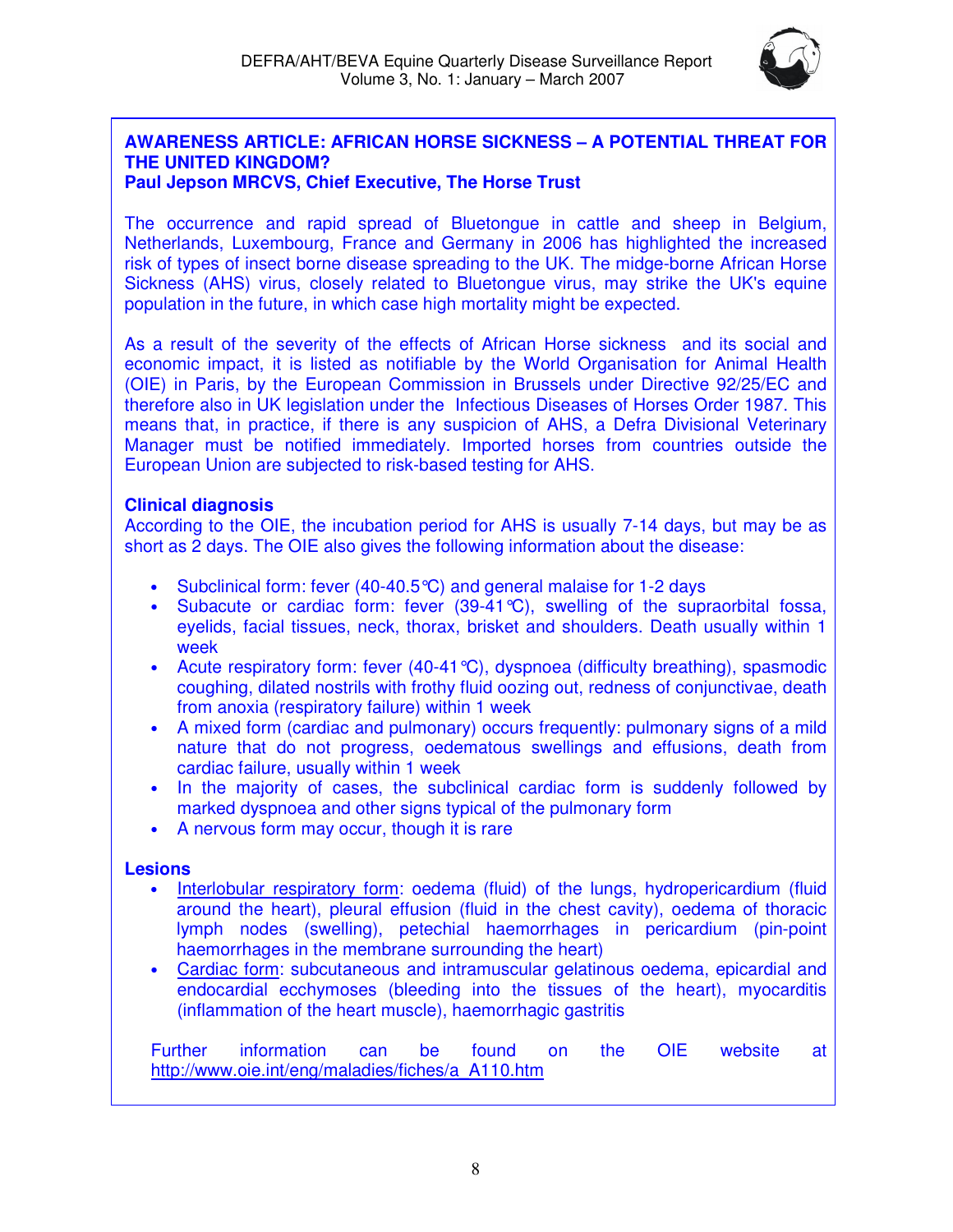

# **AWARENESS ARTICLE: AFRICAN HORSE SICKNESS – A POTENTIAL THREAT FOR THE UNITED KINGDOM?**

# **Paul Jepson MRCVS, Chief Executive, The Horse Trust**

The occurrence and rapid spread of Bluetongue in cattle and sheep in Belgium, Netherlands, Luxembourg, France and Germany in 2006 has highlighted the increased risk of types of insect borne disease spreading to the UK. The midge-borne African Horse Sickness (AHS) virus, closely related to Bluetongue virus, may strike the UK's equine population in the future, in which case high mortality might be expected.

As a result of the severity of the effects of African Horse sickness and its social and economic impact, it is listed as notifiable by the World Organisation for Animal Health (OIE) in Paris, by the European Commission in Brussels under Directive 92/25/EC and therefore also in UK legislation under the Infectious Diseases of Horses Order 1987. This means that, in practice, if there is any suspicion of AHS, a Defra Divisional Veterinary Manager must be notified immediately. Imported horses from countries outside the European Union are subjected to risk-based testing for AHS.

# **Clinical diagnosis**

According to the OIE, the incubation period for AHS is usually 7-14 days, but may be as short as 2 days. The OIE also gives the following information about the disease:

- Subclinical form: fever (40-40.5°C) and general malaise for 1-2 days
- Subacute or cardiac form: fever  $(39-41^{\circ}\text{C})$ , swelling of the supraorbital fossa, eyelids, facial tissues, neck, thorax, brisket and shoulders. Death usually within 1 week
- Acute respiratory form: fever (40-41 °C), dyspnoea (difficulty breathing), spasmodic coughing, dilated nostrils with frothy fluid oozing out, redness of conjunctivae, death from anoxia (respiratory failure) within 1 week
- A mixed form (cardiac and pulmonary) occurs frequently: pulmonary signs of a mild nature that do not progress, oedematous swellings and effusions, death from cardiac failure, usually within 1 week
- In the majority of cases, the subclinical cardiac form is suddenly followed by marked dyspnoea and other signs typical of the pulmonary form
- A nervous form may occur, though it is rare

# **Lesions**

- Interlobular respiratory form: oedema (fluid) of the lungs, hydropericardium (fluid around the heart), pleural effusion (fluid in the chest cavity), oedema of thoracic lymph nodes (swelling), petechial haemorrhages in pericardium (pin-point haemorrhages in the membrane surrounding the heart)
- Cardiac form: subcutaneous and intramuscular gelatinous oedema, epicardial and endocardial ecchymoses (bleeding into the tissues of the heart), myocarditis (inflammation of the heart muscle), haemorrhagic gastritis

Further information can be found on the OIE website at http://www.oie.int/eng/maladies/fiches/a\_A110.htm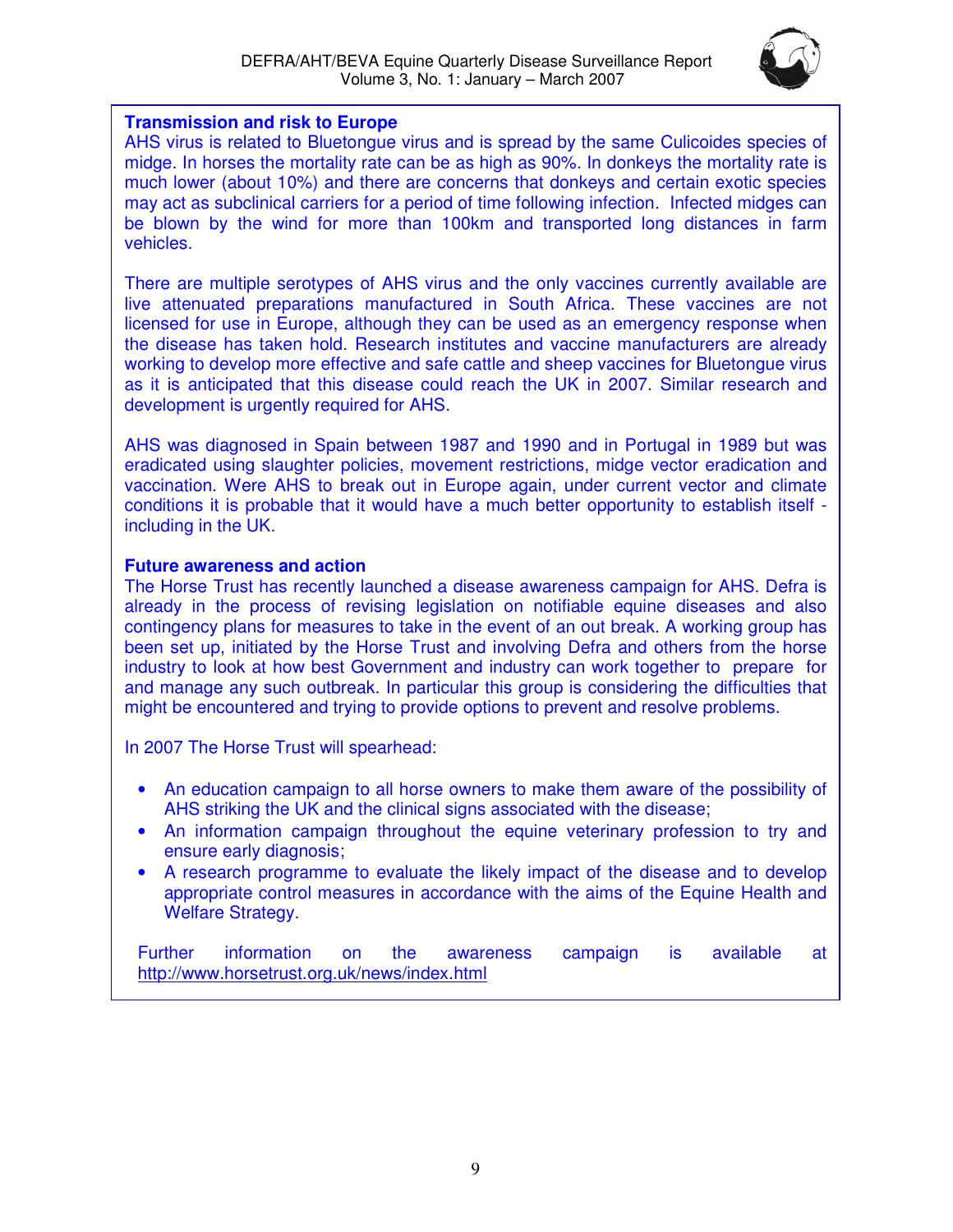

# **Transmission and risk to Europe**

AHS virus is related to Bluetongue virus and is spread by the same Culicoides species of midge. In horses the mortality rate can be as high as 90%. In donkeys the mortality rate is much lower (about 10%) and there are concerns that donkeys and certain exotic species may act as subclinical carriers for a period of time following infection. Infected midges can be blown by the wind for more than 100km and transported long distances in farm vehicles.

There are multiple serotypes of AHS virus and the only vaccines currently available are live attenuated preparations manufactured in South Africa. These vaccines are not licensed for use in Europe, although they can be used as an emergency response when the disease has taken hold. Research institutes and vaccine manufacturers are already working to develop more effective and safe cattle and sheep vaccines for Bluetongue virus as it is anticipated that this disease could reach the UK in 2007. Similar research and development is urgently required for AHS.

AHS was diagnosed in Spain between 1987 and 1990 and in Portugal in 1989 but was eradicated using slaughter policies, movement restrictions, midge vector eradication and vaccination. Were AHS to break out in Europe again, under current vector and climate conditions it is probable that it would have a much better opportunity to establish itself including in the UK.

# **Future awareness and action**

The Horse Trust has recently launched a disease awareness campaign for AHS. Defra is already in the process of revising legislation on notifiable equine diseases and also contingency plans for measures to take in the event of an out break. A working group has been set up, initiated by the Horse Trust and involving Defra and others from the horse industry to look at how best Government and industry can work together to prepare for and manage any such outbreak. In particular this group is considering the difficulties that might be encountered and trying to provide options to prevent and resolve problems.

In 2007 The Horse Trust will spearhead:

- An education campaign to all horse owners to make them aware of the possibility of AHS striking the UK and the clinical signs associated with the disease;
- An information campaign throughout the equine veterinary profession to try and ensure early diagnosis;
- A research programme to evaluate the likely impact of the disease and to develop appropriate control measures in accordance with the aims of the Equine Health and Welfare Strategy.

Further information on the awareness campaign is available at http://www.horsetrust.org.uk/news/index.html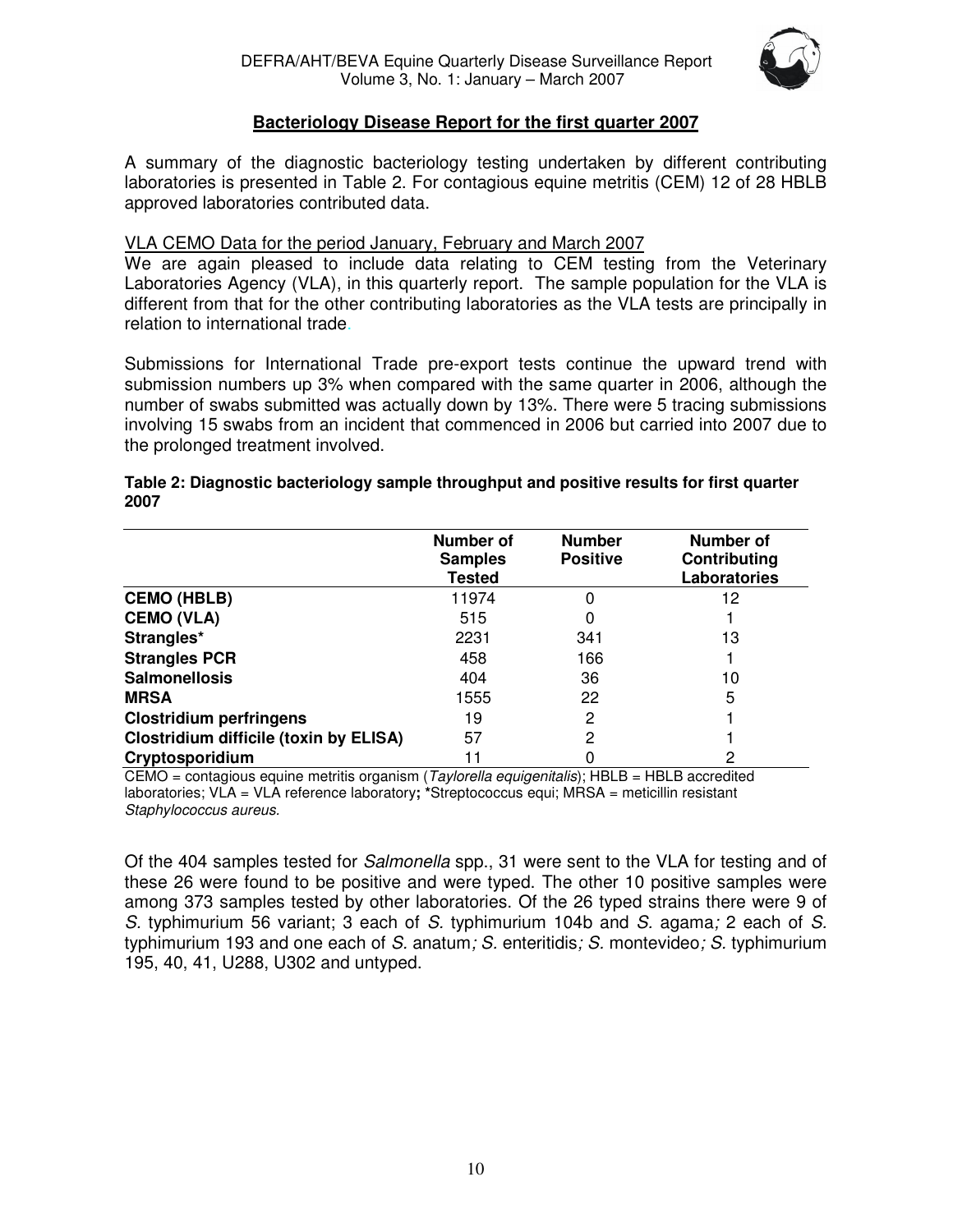

# **Bacteriology Disease Report for the first quarter 2007**

A summary of the diagnostic bacteriology testing undertaken by different contributing laboratories is presented in Table 2. For contagious equine metritis (CEM) 12 of 28 HBLB approved laboratories contributed data.

# VLA CEMO Data for the period January, February and March 2007

We are again pleased to include data relating to CEM testing from the Veterinary Laboratories Agency (VLA), in this quarterly report. The sample population for the VLA is different from that for the other contributing laboratories as the VLA tests are principally in relation to international trade.

Submissions for International Trade pre-export tests continue the upward trend with submission numbers up 3% when compared with the same quarter in 2006, although the number of swabs submitted was actually down by 13%. There were 5 tracing submissions involving 15 swabs from an incident that commenced in 2006 but carried into 2007 due to the prolonged treatment involved.

|                                               | Number of<br><b>Samples</b><br><b>Tested</b> | <b>Number</b><br><b>Positive</b> | Number of<br>Contributing<br><b>Laboratories</b> |
|-----------------------------------------------|----------------------------------------------|----------------------------------|--------------------------------------------------|
| <b>CEMO (HBLB)</b>                            | 11974                                        |                                  | 12                                               |
| <b>CEMO (VLA)</b>                             | 515                                          |                                  |                                                  |
| Strangles*                                    | 2231                                         | 341                              | 13                                               |
| <b>Strangles PCR</b>                          | 458                                          | 166                              |                                                  |
| <b>Salmonellosis</b>                          | 404                                          | 36                               | 10                                               |
| <b>MRSA</b>                                   | 1555                                         | 22                               | 5                                                |
| <b>Clostridium perfringens</b>                | 19                                           | 2                                |                                                  |
| <b>Clostridium difficile (toxin by ELISA)</b> | 57                                           | 2                                |                                                  |
| Cryptosporidium                               | 11                                           |                                  | 2                                                |

## **Table 2: Diagnostic bacteriology sample throughput and positive results for first quarter 2007**

 $CEMO =$  contagious equine metritis organism (*Taylorella equigenitalis*); HBLB = HBLB accredited laboratories; VLA = VLA reference laboratory**; \***Streptococcus equi; MRSA = meticillin resistant Staphylococcus aureus.

Of the 404 samples tested for Salmonella spp., 31 were sent to the VLA for testing and of these 26 were found to be positive and were typed. The other 10 positive samples were among 373 samples tested by other laboratories. Of the 26 typed strains there were 9 of S. typhimurium 56 variant; 3 each of S. typhimurium 104b and S. agama; 2 each of S. typhimurium 193 and one each of S. anatum; S. enteritidis; S. montevideo; S. typhimurium 195, 40, 41, U288, U302 and untyped.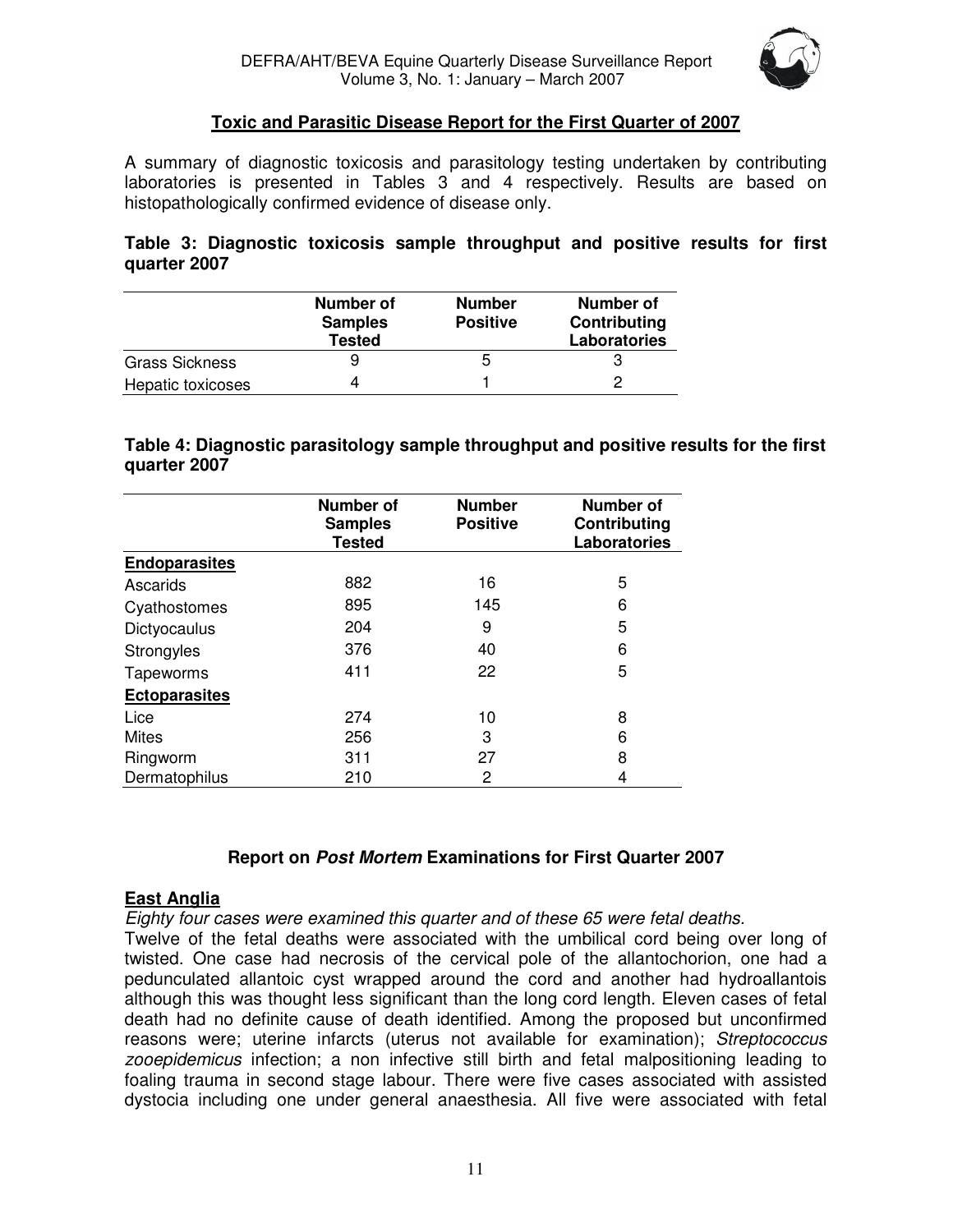

# **Toxic and Parasitic Disease Report for the First Quarter of 2007**

A summary of diagnostic toxicosis and parasitology testing undertaken by contributing laboratories is presented in Tables 3 and 4 respectively. Results are based on histopathologically confirmed evidence of disease only.

**Table 3: Diagnostic toxicosis sample throughput and positive results for first quarter 2007** 

|                       | Number of<br><b>Samples</b><br><b>Tested</b> | <b>Number</b><br><b>Positive</b> | Number of<br>Contributing<br><b>Laboratories</b> |
|-----------------------|----------------------------------------------|----------------------------------|--------------------------------------------------|
| <b>Grass Sickness</b> |                                              | b                                |                                                  |
| Hepatic toxicoses     |                                              |                                  |                                                  |

**Table 4: Diagnostic parasitology sample throughput and positive results for the first quarter 2007** 

|                      | <b>Number of</b><br><b>Samples</b><br><b>Tested</b> | <b>Number</b><br><b>Positive</b> | Number of<br>Contributing<br><b>Laboratories</b> |
|----------------------|-----------------------------------------------------|----------------------------------|--------------------------------------------------|
| <b>Endoparasites</b> |                                                     |                                  |                                                  |
| Ascarids             | 882                                                 | 16                               | 5                                                |
| Cyathostomes         | 895                                                 | 145                              | 6                                                |
| Dictyocaulus         | 204                                                 | 9                                | 5                                                |
| Strongyles           | 376                                                 | 40                               | 6                                                |
| Tapeworms            | 411                                                 | 22                               | 5                                                |
| <b>Ectoparasites</b> |                                                     |                                  |                                                  |
| Lice                 | 274                                                 | 10                               | 8                                                |
| <b>Mites</b>         | 256                                                 | 3                                | 6                                                |
| Ringworm             | 311                                                 | 27                               | 8                                                |
| Dermatophilus        | 210                                                 | 2                                | 4                                                |

# **Report on Post Mortem Examinations for First Quarter 2007**

# **East Anglia**

Eighty four cases were examined this quarter and of these 65 were fetal deaths.

Twelve of the fetal deaths were associated with the umbilical cord being over long of twisted. One case had necrosis of the cervical pole of the allantochorion, one had a pedunculated allantoic cyst wrapped around the cord and another had hydroallantois although this was thought less significant than the long cord length. Eleven cases of fetal death had no definite cause of death identified. Among the proposed but unconfirmed reasons were; uterine infarcts (uterus not available for examination); Streptococcus zooepidemicus infection; a non infective still birth and fetal malpositioning leading to foaling trauma in second stage labour. There were five cases associated with assisted dystocia including one under general anaesthesia. All five were associated with fetal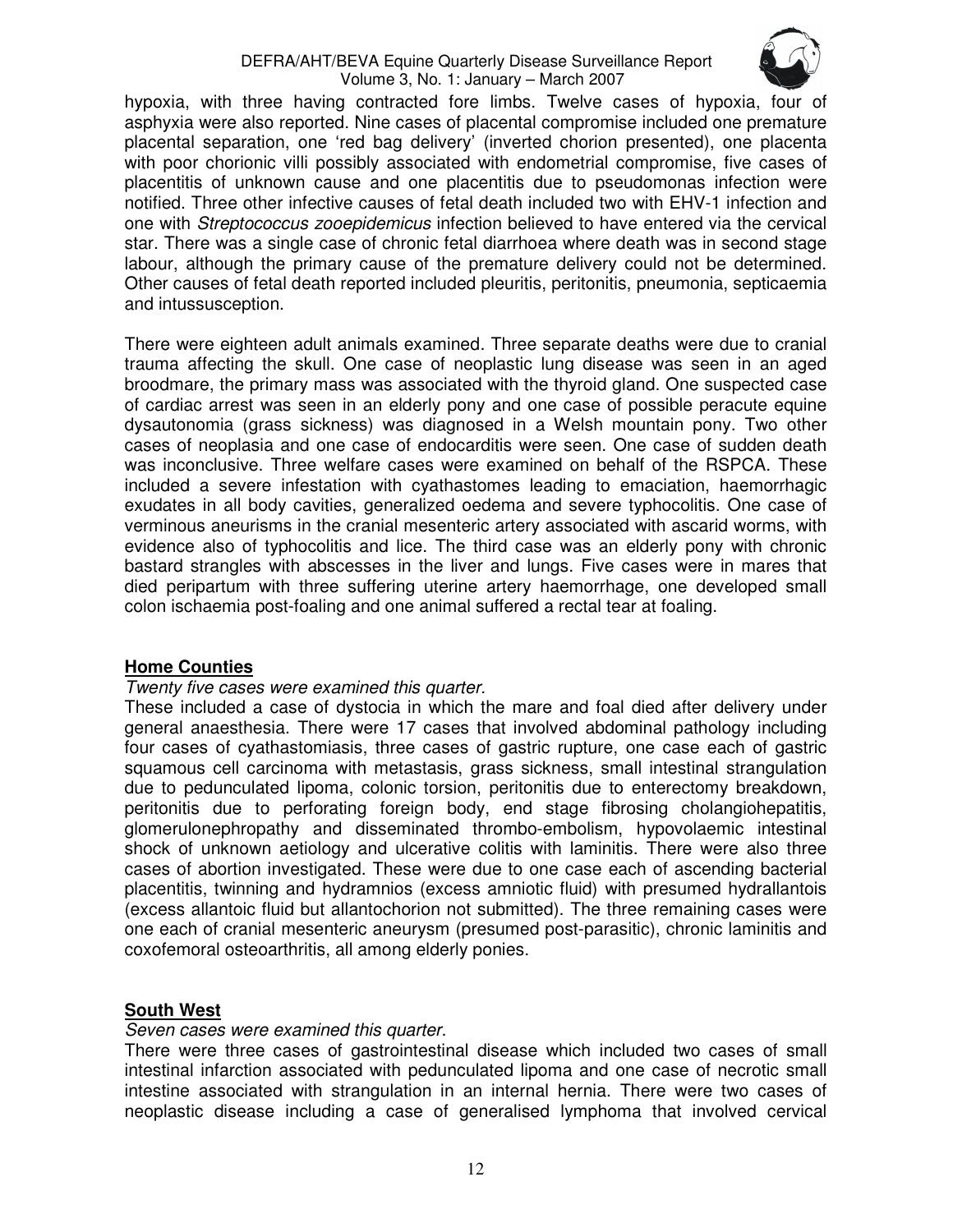

hypoxia, with three having contracted fore limbs. Twelve cases of hypoxia, four of asphyxia were also reported. Nine cases of placental compromise included one premature placental separation, one 'red bag delivery' (inverted chorion presented), one placenta with poor chorionic villi possibly associated with endometrial compromise, five cases of placentitis of unknown cause and one placentitis due to pseudomonas infection were notified. Three other infective causes of fetal death included two with EHV-1 infection and one with Streptococcus zooepidemicus infection believed to have entered via the cervical star. There was a single case of chronic fetal diarrhoea where death was in second stage labour, although the primary cause of the premature delivery could not be determined. Other causes of fetal death reported included pleuritis, peritonitis, pneumonia, septicaemia and intussusception.

There were eighteen adult animals examined. Three separate deaths were due to cranial trauma affecting the skull. One case of neoplastic lung disease was seen in an aged broodmare, the primary mass was associated with the thyroid gland. One suspected case of cardiac arrest was seen in an elderly pony and one case of possible peracute equine dysautonomia (grass sickness) was diagnosed in a Welsh mountain pony. Two other cases of neoplasia and one case of endocarditis were seen. One case of sudden death was inconclusive. Three welfare cases were examined on behalf of the RSPCA. These included a severe infestation with cyathastomes leading to emaciation, haemorrhagic exudates in all body cavities, generalized oedema and severe typhocolitis. One case of verminous aneurisms in the cranial mesenteric artery associated with ascarid worms, with evidence also of typhocolitis and lice. The third case was an elderly pony with chronic bastard strangles with abscesses in the liver and lungs. Five cases were in mares that died peripartum with three suffering uterine artery haemorrhage, one developed small colon ischaemia post-foaling and one animal suffered a rectal tear at foaling.

#### **Home Counties**

#### Twenty five cases were examined this quarter.

These included a case of dystocia in which the mare and foal died after delivery under general anaesthesia. There were 17 cases that involved abdominal pathology including four cases of cyathastomiasis, three cases of gastric rupture, one case each of gastric squamous cell carcinoma with metastasis, grass sickness, small intestinal strangulation due to pedunculated lipoma, colonic torsion, peritonitis due to enterectomy breakdown, peritonitis due to perforating foreign body, end stage fibrosing cholangiohepatitis, glomerulonephropathy and disseminated thrombo-embolism, hypovolaemic intestinal shock of unknown aetiology and ulcerative colitis with laminitis. There were also three cases of abortion investigated. These were due to one case each of ascending bacterial placentitis, twinning and hydramnios (excess amniotic fluid) with presumed hydrallantois (excess allantoic fluid but allantochorion not submitted). The three remaining cases were one each of cranial mesenteric aneurysm (presumed post-parasitic), chronic laminitis and coxofemoral osteoarthritis, all among elderly ponies.

# **South West**

#### Seven cases were examined this quarter.

There were three cases of gastrointestinal disease which included two cases of small intestinal infarction associated with pedunculated lipoma and one case of necrotic small intestine associated with strangulation in an internal hernia. There were two cases of neoplastic disease including a case of generalised lymphoma that involved cervical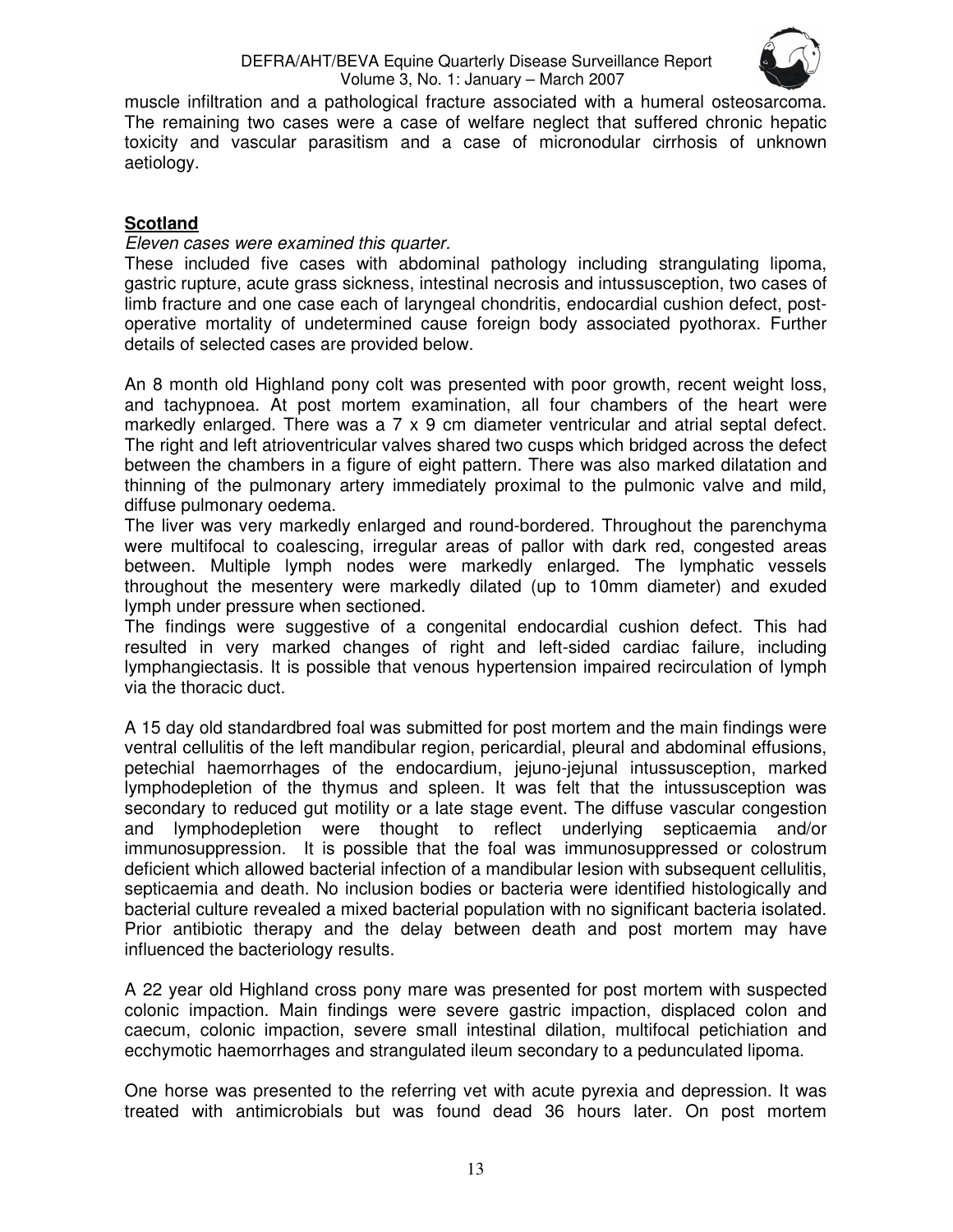

muscle infiltration and a pathological fracture associated with a humeral osteosarcoma. The remaining two cases were a case of welfare neglect that suffered chronic hepatic toxicity and vascular parasitism and a case of micronodular cirrhosis of unknown aetiology.

# **Scotland**

## Eleven cases were examined this quarter.

These included five cases with abdominal pathology including strangulating lipoma, gastric rupture, acute grass sickness, intestinal necrosis and intussusception, two cases of limb fracture and one case each of laryngeal chondritis, endocardial cushion defect, postoperative mortality of undetermined cause foreign body associated pyothorax. Further details of selected cases are provided below.

An 8 month old Highland pony colt was presented with poor growth, recent weight loss, and tachypnoea. At post mortem examination, all four chambers of the heart were markedly enlarged. There was a 7 x 9 cm diameter ventricular and atrial septal defect. The right and left atrioventricular valves shared two cusps which bridged across the defect between the chambers in a figure of eight pattern. There was also marked dilatation and thinning of the pulmonary artery immediately proximal to the pulmonic valve and mild, diffuse pulmonary oedema.

The liver was very markedly enlarged and round-bordered. Throughout the parenchyma were multifocal to coalescing, irregular areas of pallor with dark red, congested areas between. Multiple lymph nodes were markedly enlarged. The lymphatic vessels throughout the mesentery were markedly dilated (up to 10mm diameter) and exuded lymph under pressure when sectioned.

The findings were suggestive of a congenital endocardial cushion defect. This had resulted in very marked changes of right and left-sided cardiac failure, including lymphangiectasis. It is possible that venous hypertension impaired recirculation of lymph via the thoracic duct.

A 15 day old standardbred foal was submitted for post mortem and the main findings were ventral cellulitis of the left mandibular region, pericardial, pleural and abdominal effusions, petechial haemorrhages of the endocardium, jejuno-jejunal intussusception, marked lymphodepletion of the thymus and spleen. It was felt that the intussusception was secondary to reduced gut motility or a late stage event. The diffuse vascular congestion and lymphodepletion were thought to reflect underlying septicaemia and/or immunosuppression. It is possible that the foal was immunosuppressed or colostrum deficient which allowed bacterial infection of a mandibular lesion with subsequent cellulitis, septicaemia and death. No inclusion bodies or bacteria were identified histologically and bacterial culture revealed a mixed bacterial population with no significant bacteria isolated. Prior antibiotic therapy and the delay between death and post mortem may have influenced the bacteriology results.

A 22 year old Highland cross pony mare was presented for post mortem with suspected colonic impaction. Main findings were severe gastric impaction, displaced colon and caecum, colonic impaction, severe small intestinal dilation, multifocal petichiation and ecchymotic haemorrhages and strangulated ileum secondary to a pedunculated lipoma.

One horse was presented to the referring vet with acute pyrexia and depression. It was treated with antimicrobials but was found dead 36 hours later. On post mortem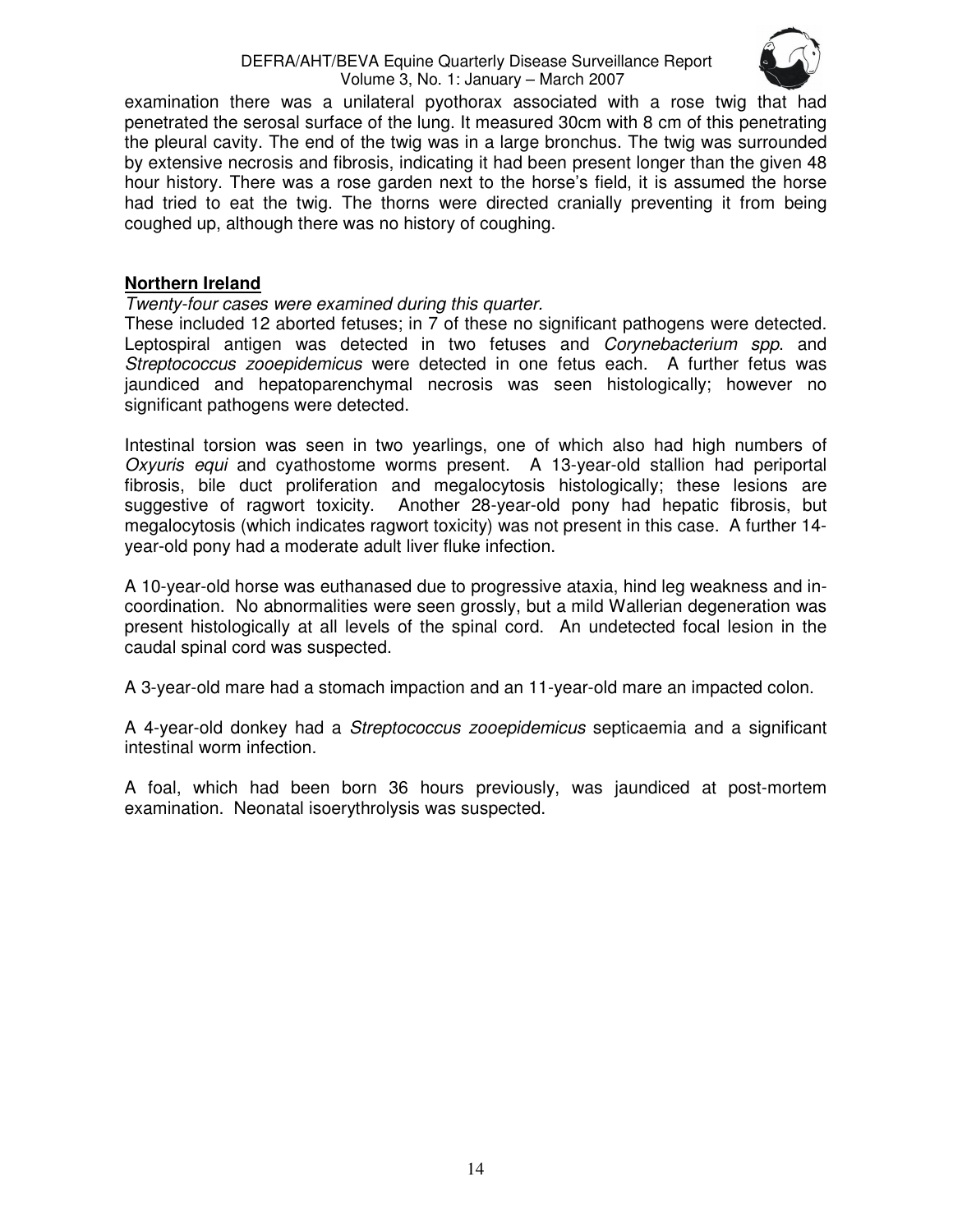

examination there was a unilateral pyothorax associated with a rose twig that had penetrated the serosal surface of the lung. It measured 30cm with 8 cm of this penetrating the pleural cavity. The end of the twig was in a large bronchus. The twig was surrounded by extensive necrosis and fibrosis, indicating it had been present longer than the given 48 hour history. There was a rose garden next to the horse's field, it is assumed the horse had tried to eat the twig. The thorns were directed cranially preventing it from being coughed up, although there was no history of coughing.

## **Northern Ireland**

#### Twenty-four cases were examined during this quarter.

These included 12 aborted fetuses; in 7 of these no significant pathogens were detected. Leptospiral antigen was detected in two fetuses and *Corynebacterium spp.* and Streptococcus zooepidemicus were detected in one fetus each. A further fetus was jaundiced and hepatoparenchymal necrosis was seen histologically; however no significant pathogens were detected.

Intestinal torsion was seen in two yearlings, one of which also had high numbers of Oxyuris equi and cyathostome worms present. A 13-year-old stallion had periportal fibrosis, bile duct proliferation and megalocytosis histologically; these lesions are suggestive of ragwort toxicity. Another 28-year-old pony had hepatic fibrosis, but megalocytosis (which indicates ragwort toxicity) was not present in this case. A further 14 year-old pony had a moderate adult liver fluke infection.

A 10-year-old horse was euthanased due to progressive ataxia, hind leg weakness and incoordination. No abnormalities were seen grossly, but a mild Wallerian degeneration was present histologically at all levels of the spinal cord. An undetected focal lesion in the caudal spinal cord was suspected.

A 3-year-old mare had a stomach impaction and an 11-year-old mare an impacted colon.

A 4-year-old donkey had a Streptococcus zooepidemicus septicaemia and a significant intestinal worm infection.

A foal, which had been born 36 hours previously, was jaundiced at post-mortem examination. Neonatal isoerythrolysis was suspected.